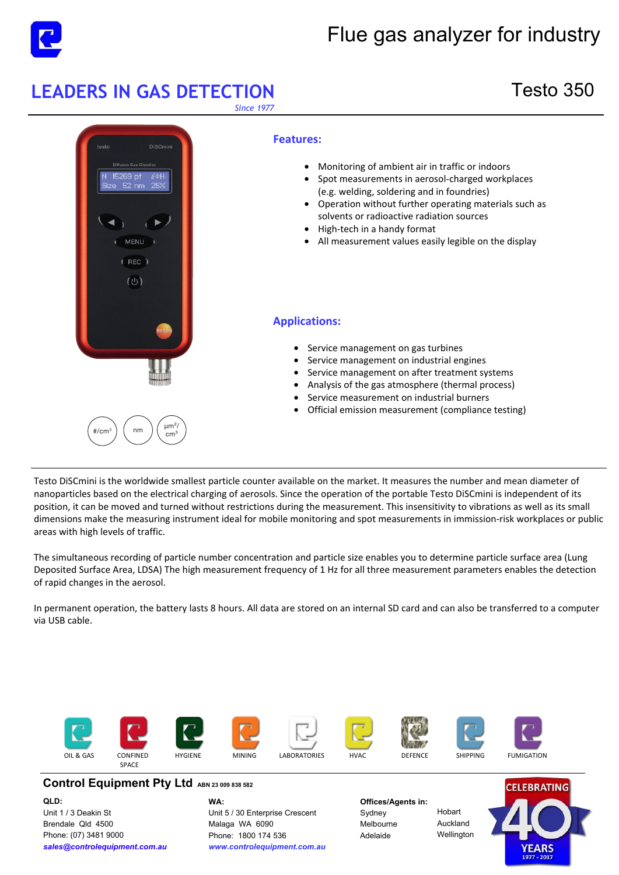

# Flue gas analyzer for industry

# **LEADERS IN GAS DETECTION** Testo 350

*Since 1977* 



Testo DiSCmini is the worldwide smallest particle counter available on the market. It measures the number and mean diameter of nanoparticles based on the electrical charging of aerosols. Since the operation of the portable Testo DiSCmini is independent of its position, it can be moved and turned without restrictions during the measurement. This insensitivity to vibrations as well as its small dimensions make the measuring instrument ideal for mobile monitoring and spot measurements in immission-risk workplaces or public areas with high levels of traffic.

The simultaneous recording of particle number concentration and particle size enables you to determine particle surface area (Lung Deposited Surface Area, LDSA) The high measurement frequency of 1 Hz for all three measurement parameters enables the detection of rapid changes in the aerosol.

In permanent operation, the battery lasts 8 hours. All data are stored on an internal SD card and can also be transferred to a computer via USB cable.



### **Control Equipment Pty Ltd ABN 23 009 838 582**

**QLD:**  Unit 1 / 3 Deakin St Brendale Qld 4500 Phone: (07) 3481 9000 *sales@controlequipment.com.au* **WA:**  Unit 5 / 30 Enterprise Crescent Malaga WA 6090 [Phone: 1800 174 536](mailto:sales@controlequipment.com.au) *[www.controlequipment.c](http://www.controlequipment.com.au)om.au*

**Offices/Agents in:**  Sydney Melbourne Adelaide

Hobart Auckland Wellington